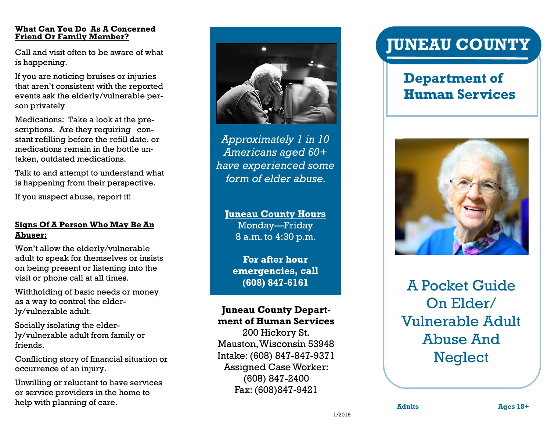#### **What Can You Do As A Concerned Friend Or Family Member?**

Call and visit often to be aware of what is happening.

If you are noticing bruises or injuries that aren't consistent with the reported events ask the elderly/vulnerable person privately

Medications: Take a look at the prescriptions. Are they requiring constant refilling before the refill date, or medications remain in the bottle untaken, outdated medications.

Talk to and attempt to understand what is happening from their perspective.

If you suspect abuse, report it!

#### **Signs Of A Person Who May Be An Abuser:**

Won't allow the elderly/vulnerable adult to speak for themselves or insists on being present or listening into the visit or phone call at all times.

Withholding of basic needs or money as a way to control the elderly/vulnerable adult.

Socially isolating the elderly/vulnerable adult from family or friends.

Conflicting story of financial situation or occurrence of an injury.

Unwilling or reluctant to have services or service providers in the home to help with planning of care.



*Approximately 1 in 10 Americans aged 60+ have experienced some form of elder abuse.* 

**Juneau County Hours**  Monday—Friday 8 a.m. to 4:30 p.m.

**For after hour emergencies, call (608) 847-6161**

### **Juneau County Department of Human Services**

200 Hickory St. Mauston, Wisconsin 53948 Intake: (608) 847-847-9371 Assigned Case Worker: (608) 847-2400 Fax: (608)847-9421

# **JUNEAU COUNTY**

## **Department of Human Services**



A Pocket Guide On Elder/ Vulnerable Adult Abuse And **Neglect** 

1/2019